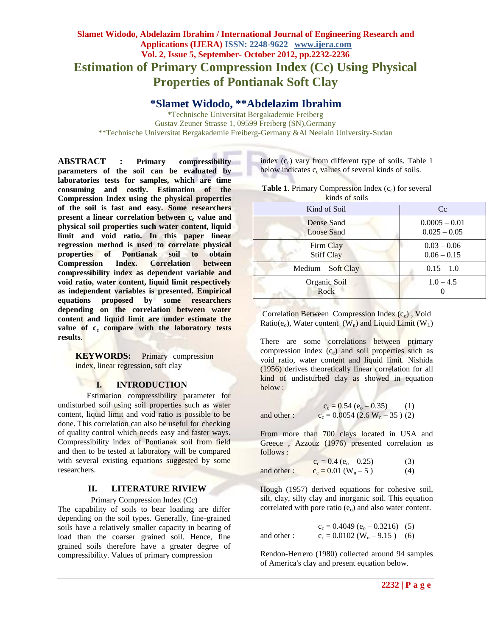# **Slamet Widodo, Abdelazim Ibrahim / International Journal of Engineering Research and Applications (IJERA) ISSN: 2248-9622 www.ijera.com Vol. 2, Issue 5, September- October 2012, pp.2232-2236 Estimation of Primary Compression Index (Cc) Using Physical Properties of Pontianak Soft Clay**

**\*Slamet Widodo, \*\*Abdelazim Ibrahim**

\*Technische Universitat Bergakademie Freiberg Gustav Zeuner Strasse 1, 09599 Freiberg (SN),Germany \*\*Technische Universitat Bergakademie Freiberg-Germany &Al Neelain University-Sudan

**ABSTRACT : Primary compressibility parameters of the soil can be evaluated by laboratories tests for samples, which are time consuming and costly. Estimation of the Compression Index using the physical properties of the soil is fast and easy. Some researchers present a linear correlation between c<sub>c</sub> value and physical soil properties such water content, liquid limit and void ratio. In this paper linear regression method is used to correlate physical properties of Pontianak soil to obtain Compression Index. Correlation between compressibility index as dependent variable and void ratio, water content, liquid limit respectively as independent variables is presented. Empirical equations proposed by some researchers depending on the correlation between water content and liquid limit are under estimate the value of c<sup>c</sup> compare with the laboratory tests results**.

**KEYWORDS:** Primary compression index, linear regression, soft clay

### **I. INTRODUCTION**

Estimation compressibility parameter for undisturbed soil using soil properties such as water content, liquid limit and void ratio is possible to be done. This correlation can also be useful for checking of quality control which needs easy and faster ways. Compressibility index of Pontianak soil from field and then to be tested at laboratory will be compared with several existing equations suggested by some researchers.

### **II. LITERATURE RIVIEW**

Primary Compression Index (Cc)

The capability of soils to bear loading are differ depending on the soil types. Generally, fine-grained soils have a relatively smaller capacity in bearing of load than the coarser grained soil. Hence, fine grained soils therefore have a greater degree of compressibility. Values of primary compression

index  $(c<sub>c</sub>)$  vary from different type of soils. Table 1 below indicates  $c_c$  values of several kinds of soils.

| <b>Table 1.</b> Primary Compression Index $(c_c)$ for several |
|---------------------------------------------------------------|
| kinds of soils                                                |

| Kind of Soil                    | Cc                                |  |  |  |
|---------------------------------|-----------------------------------|--|--|--|
| Dense Sand<br><b>Loose Sand</b> | $0.0005 - 0.01$<br>$0.025 - 0.05$ |  |  |  |
| Firm Clay<br><b>Stiff Clay</b>  | $0.03 - 0.06$<br>$0.06 - 0.15$    |  |  |  |
| $Median - Soft Clay$            | $0.15 - 1.0$                      |  |  |  |
| Organic Soil<br>Rock            | $1.0 - 4.5$                       |  |  |  |

Correlation Between Compression Index (cc), Void Ratio( $e_0$ ), Water content  $(W_n)$  and Liquid Limit  $(W_L)$ 

There are some correlations between primary compression index  $(c<sub>c</sub>)$  and soil properties such as void ratio, water content and liquid limit. Nishida (1956) derives theoretically linear correlation for all kind of undisturbed clay as showed in equation below :

and other :

$$
c_{\rm c} = 0.54 \ (e_{\rm o} - 0.35) \tag{1}
$$
\n
$$
\therefore \qquad c_{\rm c} = 0.0054 \ (2.6 \ \text{W}_{\rm n} - 35) \ (2)
$$

From more than 700 clays located in USA and Greece , Azzouz (1976) presented correlation as follows :

 $c_c = 0.4 (e_0 - 0.25)$  (3) and other :  $c_c = 0.01 \text{ (W}_n - 5)$  (4)

Hough (1957) derived equations for cohesive soil, silt, clay, silty clay and inorganic soil. This equation correlated with pore ratio  $(e_0)$  and also water content.

 $c_c = 0.4049 (e_o - 0.3216)$  (5) and other :  $c_c = 0.0102$  (W<sub>n</sub> – 9.15) (6)

Rendon-Herrero (1980) collected around 94 samples of America's clay and present equation below.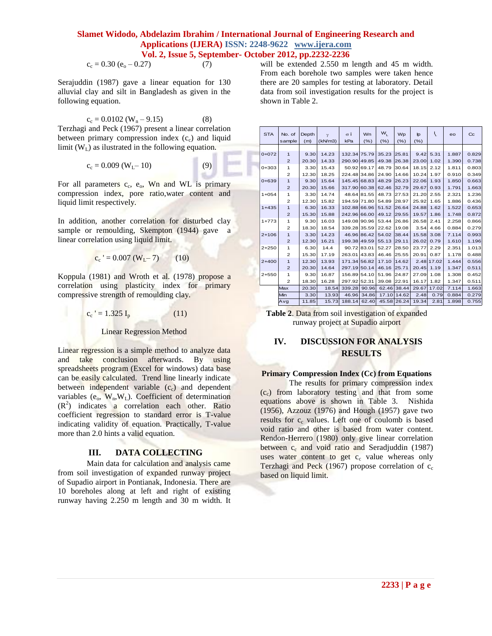$c_c = 0.30 (e_0 - 0.27)$  (7)

Serajuddin (1987) gave a linear equation for 130 alluvial clay and silt in Bangladesh as given in the following equation.

 $c_c = 0.0102 (W_n - 9.15)$  (8) Terzhagi and Peck (1967) present a linear correlation between primary compression index  $(c<sub>c</sub>)$  and liquid limit  $(W<sub>L</sub>)$  as ilustrated in the following equation.

$$
c_c = 0.009 (W_L - 10)
$$
 (9)

 $\overline{a}$ 

سا

For all parameters  $c_c$ ,  $e_o$ , Wn and WL is primary compression index, pore ratio,water content and liquid limit respectively.

In addition, another correlation for disturbed clay sample or remoulding, Skempton (1944) gave a linear correlation using liquid limit.

$$
c_c' = 0.007 (W_L - 7)
$$
 (10)

Koppula (1981) and Wroth et al. (1978) propose a correlation using plasticity index for primary compressive strength of remoulding clay.

$$
c_c' = 1.325 I_p \tag{11}
$$

Linear Regression Method

Linear regression is a simple method to analyze data and take conclusion afterwards. By using spreadsheets program (Excel for windows) data base can be easily calculated. Trend line linearly indicate between independent variable  $(c<sub>c</sub>)$  and dependent variables  $(e_0, W_n, W_l)$ . Coefficient of determination  $(R<sup>2</sup>)$  indicates a correlation each other. Ratio coefficient regression to standard error is T-value indicating validity of equation. Practically, T-value more than 2.0 hints a valid equation.

### **III. DATA COLLECTING**

Main data for calculation and analysis came from soil investigation of expanded runway project of Supadio airport in Pontianak, Indonesia. There are 10 boreholes along at left and right of existing runway having 2.250 m length and 30 m width. It

will be extended 2.550 m length and 45 m width. From each borehole two samples were taken hence there are 20 samples for testing at laboratory. Detail data from soil investigation results for the project is shown in Table 2.

| <b>STA</b> | No. of<br>sample | Depth<br>(m) | $\gamma$<br>(kN/m3) | $\sigma$ i<br>kPa | Wn<br>(%)   | W <sub>1</sub><br>(%) | <b>Wp</b><br>(%) | $\n  p\n$<br>(%) | V          | eo    | $_{\rm{Cc}}$ |
|------------|------------------|--------------|---------------------|-------------------|-------------|-----------------------|------------------|------------------|------------|-------|--------------|
|            |                  |              |                     |                   |             |                       |                  |                  |            |       |              |
| $0+072$    | $\mathbf{1}$     | 9.30         | 14.23               | 132.34 75.79      |             | 35.23                 | 25.81            | 9.42             | 5.31       | 1.887 | 0.829        |
|            | $\overline{2}$   | 20.30        | 14.33               | 290.90 49.85      |             | 49.38                 | 26.38            | 23.00            | 1.02       | 1.390 | 0.738        |
| $0+303$    | 1                | 3.30         | 15.43               |                   | 50.92 69.17 | 48.79                 | 30.64            | 18.15            | 2.12       | 1.811 | 0.803        |
|            | $\overline{2}$   | 12.30        | 18.25               | 224.48 34.86      |             | 24.90                 | 14.66            | 10.24            | 1.97       | 0.910 | 0.349        |
| $0+639$    | $\mathbf{1}$     | 9.30         | 15.64               | 145.45 68.83      |             | 48.29                 | 26.23            | 22.06            | 1.93       | 1.850 | 0.663        |
|            | $\overline{2}$   | 20.30        | 15.66               | 317.90 60.38      |             | 62.46                 | 32.79            | 29.67            | 0.93       | 1.791 | 1.663        |
| $1 + 054$  | 1                | 3.30         | 14.74               |                   | 48.64 81.55 | 48.73                 | 27.53            | 21.20            | 2.55       | 2.321 | 1.236        |
|            | $\overline{2}$   | 12.30        | 15.82               | 194.59 71.80      |             | 54.89                 | 28.97            | 25.92            | 1.65       | 1.886 | 0.436        |
| $1+435$    | $\mathbf{1}$     | 6.30         | 16.33               | 102.88 66.96      |             | 51.52                 | 26.64            | 24.88            | 1.62       | 1.522 | 0.653        |
|            | $\overline{2}$   | 15.30        | 15.88               | 242.96 66.00      |             | 49.12                 | 29.55            | 19.57            | 1.86       | 1.748 | 0.872        |
| $1+773$    | 1                | 9.30         | 16.03               | 149.08 90.96      |             | 53.44                 | 26.86            | 26.58            | 2.41       | 2.258 | 0.866        |
|            | $\overline{2}$   | 18.30        | 18.54               | 339.28 35.59      |             | 22.62                 | 19.08            | 3.54             | 4.66       | 0.884 | 0.279        |
| $2+106$    | $\mathbf{1}$     | 3.30         | 14.23               |                   | 46.96 86.42 | 54.02                 | 38.44            | 15.58            | 3.08       | 7.114 | 0.993        |
|            | $\overline{2}$   | 12.30        | 16.21               | 199.38 49.59      |             | 55.13                 | 29.11            | 26.02            | 0.79       | 1.610 | 1.196        |
| $2 + 250$  | 1                | 6.30         | 14.4                |                   | 90.72 83.01 | 52.27                 | 28.50            | 23.77            | 2.29       | 2.351 | 1.013        |
|            | $\overline{2}$   | 15.30        | 17.19               | 263.01 43.83      |             | 46.46                 | 25.55            | 20.91            | 0.87       | 1.178 | 0.488        |
| $2+400$    | $\mathbf{1}$     | 12.30        | 13.93               | 171.34 56.82      |             | 17.10                 | 14.62            |                  | 2.48 17.02 | 1.444 | 0.556        |
|            | $\overline{2}$   | 20.30        | 14.64               | 297.19 50.14      |             | 46.16                 | 25.71            | 20.45            | 1.19       | 1.347 | 0.511        |
| $2 + 550$  | 1                | 9.30         | 16.87               | 156.89 54.10      |             | 51.96                 | 24.87            | 27.09            | 1.08       | 1.308 | 0.452        |
|            | $\mathfrak{p}$   | 18.30        | 16.28               | 297.92 52.31      |             | 39.08                 | 22.91            | 16.17            | 1.82       | 1.347 | 0.511        |
|            | Max              | 20.30        | 18.54               | 339.28            | 90.96       | 62.46                 | 38.44            | 29.67            | 17.02      | 7.114 | 1.663        |
|            | Min              | 3.30         | 13.93               | 46.96             | 34.86       | 17.10                 | 14.62            | 2.48             | 0.79       | 0.884 | 0.279        |
|            | Avg              | 11.85        | 15.73               | 188.14            | 62.40       | 45.58                 | 26.24            | 19.34            | 2.81       | 1.898 | 0.755        |
|            |                  |              |                     |                   |             |                       |                  |                  |            |       |              |

**Table 2**. Data from soil investigation of expanded runway project at Supadio airport

## **IV. DISCUSSION FOR ANALYSIS RESULTS**

### **Primary Compression Index (Cc) from Equations**

The results for primary compression index  $(c_c)$  from laboratory testing and that from some equations above is shown in Table 3. Nishida (1956), Azzouz (1976) and Hough (1957) gave two results for  $c_c$  values. Left one of coulomb is based void ratio and other is based from water content. Rendon-Herrero (1980) only give linear correlation between  $c_c$  and void ratio and Seradjuddin (1987) uses water content to get  $c_c$  value whereas only Terzhagi and Peck (1967) propose correlation of  $c_c$ based on liquid limit.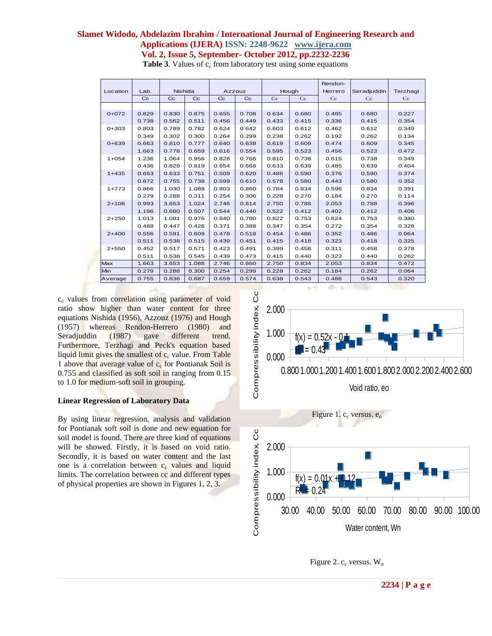|           |             |                |             |             |             |                |       | Rendon- |             |             |
|-----------|-------------|----------------|-------------|-------------|-------------|----------------|-------|---------|-------------|-------------|
| Location  | Lab.        | <b>Nishida</b> |             | Azzouz      |             | Hough          |       | Herrero | Seradjuddin | Terzhagi    |
|           | $_{\rm cc}$ | $_{\rm cc}$    | $_{\rm CC}$ | $_{\rm CC}$ | $_{\rm CC}$ | Cc<br>Cc       |       | Cc      | $_{\rm C}$  | $_{\rm Cc}$ |
|           |             |                |             |             |             |                |       |         |             |             |
| $0+072$   | 0.829       | 0.830          | 0.875       | 0.655       | 0.708       | 0.680<br>0.634 |       | 0.485   | 0.680       | 0.227       |
|           | 0.738       | 0.562          | 0.511       | 0.456       | 0.449       | 0.433          | 0.415 |         | 0.415       | 0.354       |
| $0+303$   | 0.803       | 0.789          | 0.782       | 0.624       | 0.642       | 0.603          | 0.612 |         | 0.612       | 0.349       |
|           | 0.349       | 0.302          | 0.300       | 0.264       | 0.299       | 0.238          | 0.262 | 0.192   | 0.262       | 0.134       |
| $0 + 639$ | 0.663       | 0.810          | 0.777       | 0.640       | 0.638       | 0.619<br>0.609 |       | 0.474   | 0.609       | 0.345       |
|           | 1.663       | 0.778          | 0.659       | 0.616       | 0.554       | 0.595          | 0.523 | 0.456   | 0.523       | 0.472       |
| $1 + 054$ | 1.236       | 1.064          | 0.956       | 0.828       | 0.766       | 0.810          | 0.738 |         | 0.738       | 0.349       |
|           | 0.436       | 0.829          | 0.819       | 0.654       | 0.668       | 0.633          | 0.639 | 0.485   | 0.639       | 0.404       |
| $1+435$   | 0.653       | 0.633          | 0.751       | 0.509       | 0.620       | 0.486<br>0.590 |       | 0.376   | 0.590       | 0.374       |
|           | 0.872       | 0.755          | 0.738       | 0.599       | 0.610       | 0.578          | 0.580 | 0.443   | 0.580       | 0.352       |
| $1+773$   | 0.866       | 1.030          | 1.088       | 0.803       | 0.860       | 0.784          | 0.834 | 0.596   | 0.834       | 0.391       |
|           | 0.279       | 0.288          | 0.311       | 0.254       | 0.306       | 0.228          | 0.270 | 0.184   | 0.270       | 0.114       |
| $2+106$   | 0.993       | 3.653          | 1.024       | 2.746       | 0.814       | 2.750          | 0.788 | 2.053   | 0.788       | 0.396       |
|           | 1.196       | 0.680          | 0.507       | 0.544       | 0.446       | 0.522          | 0.412 | 0.402   | 0.412       | 0.406       |
| $2 + 250$ | 1.013       | 1.081          | 0.976       | 0.840       | 0.780       | 0.822          | 0.753 | 0.624   | 0.753       | 0.380       |
|           | 0.488       | 0.447          | 0.426       | 0.371       | 0.388       | 0.347          | 0.354 | 0.272   | 0.354       | 0.328       |
| $2+400$   | 0.556       | 0.591          | 0.609       | 0.478       | 0.518       | 0.454          | 0.486 | 0.352   | 0.486       | 0.064       |
|           | 0.511       | 0.538          | 0.515       | 0.439       | 0.451       | 0.415          | 0.418 | 0.323   | 0.418       | 0.325       |
| $2 + 550$ | 0.452       | 0.517          | 0.571       | 0.423       | 0.491       | 0.399<br>0.458 |       | 0.311   | 0.458       | 0.378       |
|           | 0.511       | 0.538          | 0.545       | 0.439       | 0.473       | 0.415          | 0.440 | 0.323   | 0.440       | 0.262       |
| Max       | 1.663       | 3.653          | 1.088       | 2.746       | 0.860       | 2.750          | 0.834 | 2.053   | 0.834       | 0.472       |
| Min       | 0.279       | 0.288          | 0.300       | 0.254       | 0.299       | 0.228          | 0.262 | 0.184   | 0.262       | 0.064       |
| Average   | 0.755       | 0.836          | 0.687       | 0.659       | 0.574       | 0.638          | 0.543 | 0.488   | 0.543       | 0.320       |

**Table 3**. Values of c<sub>c</sub> from laboratory test using some equations

c<sub>c</sub> values from correlation using parameter of void ratio show higher than water content for three equations Nishida (1956), Azzouz (1976) and Hough (1957) whereas Rendon-Herrero (1980) and Seradjuddin (1987) gave different trend. Furthermore, Terzhagi and Peck's equation based liquid limit gives the smallest of  $c_c$  value. From Table 1 above that average value of  $c_c$  for Pontianak Soil is 0.755 and classified as soft soil in ranging from 0.15 to 1.0 for medium-soft soil in grouping.

#### **Linear Regression of Laboratory Data**

By using linear regression, analysis and validation for Pontianak soft soil is done and new equation for soil model is found. There are three kind of equations will be showed. Firstly, it is based on void ratio. Secondly, it is based on water content and the last one is a correlation between  $c_c$  values and liquid limits. The correlation between cc and different types of physical properties are shown in Figures 1, 2, 3.





Figure 2.  $c_c$  versus.  $W_n$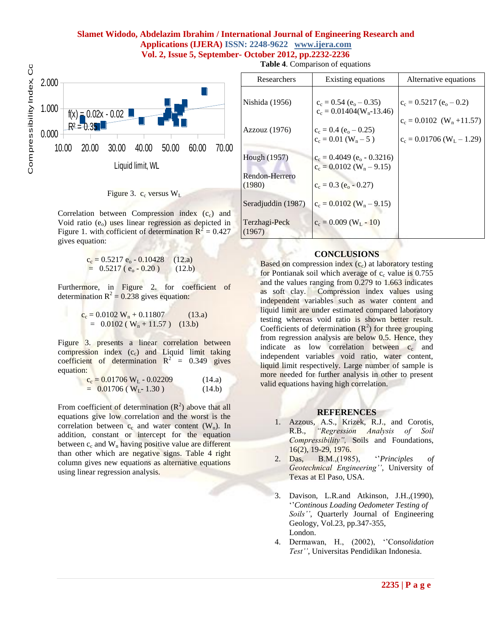

#### Figure 3.  $c_c$  versus  $W_L$

Correlation between Compression index  $(c<sub>c</sub>)$  and Void ratio  $(e_0)$  uses linear regression as depicted in Figure 1. with cofficient of determination  $R^2 = 0.427$ gives equation:

$$
c_c = 0.5217 e_o - 0.10428
$$
 (12.a)  
= 0.5217 (e<sub>o</sub> - 0.20) (12.b)

Furthermore, in Figure 2. for coefficient of determination  $R^2 = 0.238$  gives equation:

$$
c_c = 0.0102 W_n + 0.11807
$$
 (13.a)  
= 0.0102 (W<sub>n</sub> + 11.57) (13.b)

Figure 3. presents a linear correlation between compression index  $(c_c)$  and Liquid limit taking coefficient of determination  $R^2 = 0.349$  gives equation:

$$
c_c = 0.01706 W_L - 0.02209
$$
 (14.a)  
= 0.01706 (W<sub>L</sub>- 1.30) (14.b)

From coefficient of determination  $(R^2)$  above that all equations give low correlation and the worst is the correlation between  $c_c$  and water content  $(W_n)$ . In addition, constant or intercept for the equation between  $c_c$  and  $W_n$  having positive value are different than other which are negative signs. Table 4 right column gives new equations as alternative equations using linear regression analysis.

**Table 4**. Comparison of equations

| Researchers                    | Existing equations                                                                 | Alternative equations                                                  |
|--------------------------------|------------------------------------------------------------------------------------|------------------------------------------------------------------------|
| Nishida (1956)                 | $c_c = 0.54$ (e <sub>o</sub> – 0.35)<br>$c_c = 0.01404(W_n - 13.46)$               | $c_c = 0.5217 (e_0 - 0.2)$                                             |
| Azzouz (1976)                  | $c_c = 0.4 (e_0 - 0.25)$<br>$c_c = 0.01$ (W <sub>n</sub> – 5)                      | $c_c = 0.0102$ (W <sub>n</sub> +11.57)<br>$c_c = 0.01706 (W_L - 1.29)$ |
| Hough (1957)<br>Rendon-Herrero | $c_c = 0.4049$ (e <sub>o</sub> - 0.3216)<br>$c_c = 0.0102$ (W <sub>n</sub> – 9.15) |                                                                        |
| (1980)<br>Seradjuddin (1987)   | $c_c = 0.3$ (e <sub>o</sub> - 0.27)<br>$c_c = 0.0102$ (W <sub>n</sub> – 9.15)      |                                                                        |
| Terzhagi-Peck<br>1967)         | $c_c = 0.009$ (W <sub>I</sub> - 10)                                                |                                                                        |

#### **CONCLUSIONS**

Based on compression index  $(c<sub>c</sub>)$  at laboratory testing for Pontianak soil which average of  $c_c$  value is 0.755 and the values ranging from 0.279 to 1.663 indicates as soft clay. Compression index values using independent variables such as water content and liquid limit are under estimated compared laboratory testing whereas void ratio is shown better result. Coefficients of determination  $(R^2)$  for three grouping from regression analysis are below 0.5. Hence, they indicate as low correlation between  $c_c$  and independent variables void ratio, water content, liquid limit respectively. Large number of sample is more needed for further analysis in other to present valid equations having high correlation.

#### **REFERENCES**

- 1. Azzous, A.S., Krizek, R.J., and Corotis, R.B., *"Regression Analysis of Soil Compressibility",* Soils and Foundations, 16(2), 19-29, 1976.
- 2. Das, B.M.,(1985), ''*Principles of Geotechnical Engineering''*, University of Texas at El Paso, USA.
- 3. Davison, L.R.and Atkinson, J.H.,(1990), ''*Continous Loading Oedometer Testing of Soils''*, Quarterly Journal of Engineering Geology, Vol.23, pp.347-355, London.
- 4. Dermawan, H., (2002), ''C*onsolidation Test''*, Universitas Pendidikan Indonesia.